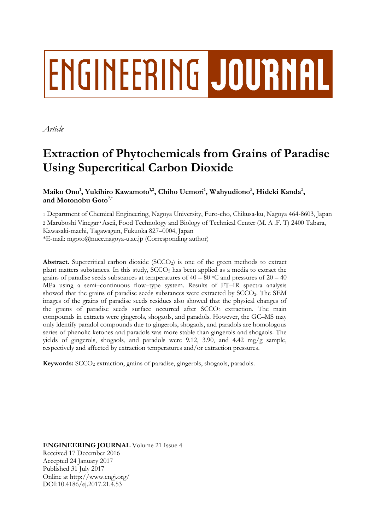# ENGINEERING JOURNAL

*Article*

# **Extraction of Phytochemicals from Grains of Paradise Using Supercritical Carbon Dioxide**

 $\mathbf{M}$ aiko  $\mathbf{Ono}^1$ , Yukihiro Kawamoto $^{1,2}$ , Chiho Uemori $^1$ , Wahyudiono $^2$ , Hideki Kanda $^2$ , **and Motonobu Goto**2,\*

1 Department of Chemical Engineering, Nagoya University, Furo-cho, Chikusa-ku, Nagoya 464-8603, Japan <sup>2</sup> Maruboshi Vinegar・Ascii, Food Technology and Biology of Technical Center (M. A .F. T) 2400 Tabara,

Kawasaki-machi, Tagawagun, Fukuoka 827–0004, Japan

\*E-mail: mgoto@nuce.nagoya-u.ac.jp (Corresponding author)

**Abstract.** Supercritical carbon dioxide (SCCO<sub>2</sub>) is one of the green methods to extract plant matters substances. In this study,  $SCCO<sub>2</sub>$  has been applied as a media to extract the grains of paradise seeds substances at temperatures of  $40 - 80$  °C and pressures of  $20 - 40$ MPa using a semi–continuous flow–type system. Results of FT–IR spectra analysis showed that the grains of paradise seeds substances were extracted by SCCO2. The SEM images of the grains of paradise seeds residues also showed that the physical changes of the grains of paradise seeds surface occurred after  $SCCO<sub>2</sub>$  extraction. The main compounds in extracts were gingerols, shogaols, and paradols. However, the GC–MS may only identify paradol compounds due to gingerols, shogaols, and paradols are homologous series of phenolic ketones and paradols was more stable than gingerols and shogaols. The yields of gingerols, shogaols, and paradols were 9.12, 3.90, and 4.42 mg/g sample, respectively and affected by extraction temperatures and/or extraction pressures.

**Keywords:** SCCO<sub>2</sub> extraction, grains of paradise, gingerols, shogaols, paradols.

**ENGINEERING JOURNAL** Volume 21 Issue 4 Received 17 December 2016 Accepted 24 January 2017 Published 31 July 2017 Online at http://www.engj.org/ DOI:10.4186/ej.2017.21.4.53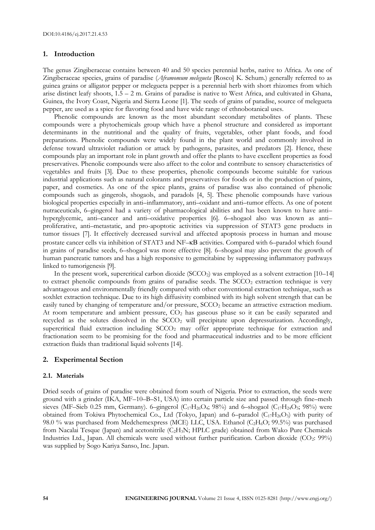## **1. Introduction**

The genus Zingiberaceae contains between 40 and 50 species perennial herbs, native to Africa. As one of Zingiberaceae species, grains of paradise (*Aframomum melegueta* [Rosco] K. Schum.) generally referred to as guinea grains or alligator pepper or melegueta pepper is a perennial herb with short rhizomes from which arise distinct leafy shoots,  $1.5 - 2$  m. Grains of paradise is native to West Africa, and cultivated in Ghana, Guinea, the Ivory Coast, Nigeria and Sierra Leone [1]. The seeds of grains of paradise, source of melegueta pepper, are used as a spice for flavoring food and have wide range of ethnobotanical uses.

Phenolic compounds are known as the most abundant secondary metabolites of plants. These compounds were a phytochemicals group which have a phenol structure and considered as important determinants in the nutritional and the quality of fruits, vegetables, other plant foods, and food preparations. Phenolic compounds were widely found in the plant world and commonly involved in defense toward ultraviolet radiation or attack by pathogens, parasites, and predators [2]. Hence, these compounds play an important role in plant growth and offer the plants to have excellent properties as food preservatives. Phenolic compounds were also affect to the color and contribute to sensory characteristics of vegetables and fruits [3]. Due to these properties, phenolic compounds become suitable for various industrial applications such as natural colorants and preservatives for foods or in the production of paints, paper, and cosmetics. As one of the spice plants, grains of paradise was also contained of phenolic compounds such as gingerols, shogaols, and paradols [4, 5]. These phenolic compounds have various biological properties especially in anti–inflammatory, anti–oxidant and anti–tumor effects. As one of potent nutraceuticals, 6–gingerol had a variety of pharmacological abilities and has been known to have anti– hyperglycemic, anti–cancer and anti–oxidative properties [6]. 6–shogaol also was known as anti– proliferative, anti–metastatic, and pro-apoptotic activities via suppression of STAT3 gene products in tumor tissues [7]. It effectively decreased survival and affected apoptosis process in human and mouse prostate cancer cells via inhibition of STAT3 and NF-KB activities. Compared with 6–paradol which found in grains of paradise seeds, 6–shogaol was more effective [8]. 6–shogaol may also prevent the growth of human pancreatic tumors and has a high responsive to gemcitabine by suppressing inflammatory pathways linked to tumorigenesis [9].

In the present work, supercritical carbon dioxide (SCCO<sub>2</sub>) was employed as a solvent extraction  $[10-14]$ to extract phenolic compounds from grains of paradise seeds. The SCCO<sub>2</sub> extraction technique is very advantageous and environmentally friendly compared with other conventional extraction technique, such as soxhlet extraction technique. Due to its high diffusivity combined with its high solvent strength that can be easily tuned by changing of temperature and/or pressure, SCCO<sup>2</sup> became an attractive extraction medium. At room temperature and ambient pressure,  $CO<sub>2</sub>$  has gaseous phase so it can be easily separated and recycled as the solutes dissolved in the SCCO<sub>2</sub> will precipitate upon depressurization. Accordingly, supercritical fluid extraction including  $SCCO<sub>2</sub>$  may offer appropriate technique for extraction and fractionation seem to be promising for the food and pharmaceutical industries and to be more efficient extraction fluids than traditional liquid solvents [14].

# **2. Experimental Section**

### **2.1. Materials**

Dried seeds of grains of paradise were obtained from south of Nigeria. Prior to extraction, the seeds were ground with a grinder (IKA, MF–10–B–S1, USA) into certain particle size and passed through fine–mesh sieves (MF–Sieb 0.25 mm, Germany). 6–gingerol (C<sub>17</sub>H<sub>26</sub>O<sub>4</sub>; 98%) and 6–shogaol (C<sub>17</sub>H<sub>24</sub>O<sub>3</sub>; 98%) were obtained from Tokiwa Phytochemical Co., Ltd (Tokyo, Japan) and 6–paradol ( $C_{17}H_{26}O_3$ ) with purity of 98.0 % was purchased from Medchemexpress (MCE) LLC, USA. Ethanol (C<sub>2</sub>H<sub>6</sub>O; 99.5%) was purchased from Nacalai Tesque (Japan) and acetonitrile  $(C_2H_3N; HPLC$  grade) obtained from Wako Pure Chemicals Industries Ltd., Japan. All chemicals were used without further purification. Carbon dioxide (CO2: 99%) was supplied by Sogo Kariya Sanso, Inc. Japan.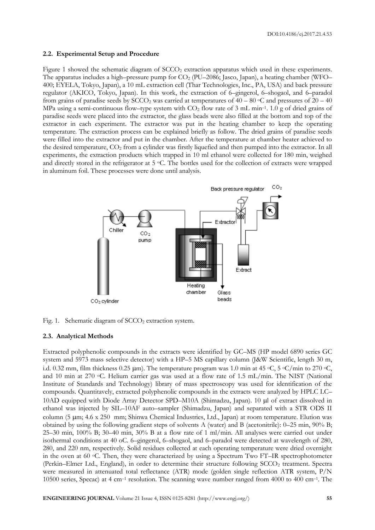### **2.2. Experimental Setup and Procedure**

Figure 1 showed the schematic diagram of SCCO<sub>2</sub> extraction apparatus which used in these experiments. The apparatus includes a high–pressure pump for  $CO<sub>2</sub>$  (PU–2086; Jasco, Japan), a heating chamber (WFO– 400; EYELA, Tokyo, Japan), a 10 mL extraction cell (Thar Technologies, Inc., PA, USA) and back pressure regulator (AKICO, Tokyo, Japan). In this work, the extraction of 6–gingerol, 6–shogaol, and 6–paradol from grains of paradise seeds by SCCO<sub>2</sub> was carried at temperatures of  $40 - 80$  °C and pressures of  $20 - 40$ MPa using a semi-continuous flow–type system with  $CO<sub>2</sub>$  flow rate of 3 mL min<sup>-1</sup>. 1.0 g of dried grains of paradise seeds were placed into the extractor, the glass beads were also filled at the bottom and top of the extractor in each experiment. The extractor was put in the heating chamber to keep the operating temperature. The extraction process can be explained briefly as follow. The dried grains of paradise seeds were filled into the extractor and put in the chamber. After the temperature at chamber heater achieved to the desired temperature, CO<sup>2</sup> from a cylinder was firstly liquefied and then pumped into the extractor. In all experiments, the extraction products which trapped in 10 ml ethanol were collected for 180 min, weighed and directly stored in the refrigerator at  $5 \degree C$ . The bottles used for the collection of extracts were wrapped in aluminum foil. These processes were done until analysis.



Fig. 1. Schematic diagram of SCCO<sub>2</sub> extraction system.

### **2.3. Analytical Methods**

Extracted polyphenolic compounds in the extracts were identified by GC–MS (HP model 6890 series GC system and 5973 mass selective detector) with a HP–5 MS capillary column (J&W Scientific, length 30 m, i.d. 0.32 mm, film thickness 0.25  $\mu$ m). The temperature program was 1.0 min at 45 °C, 5 °C/min to 270 °C, and 10 min at 270 °C. Helium carrier gas was used at a flow rate of 1.5 mL/min. The NIST (National Institute of Standards and Technology) library of mass spectroscopy was used for identification of the compounds. Quantitavely, extracted polyphenolic compounds in the extracts were analyzed by HPLC LC– 10AD equipped with Diode Array Detector SPD–M10A (Shimadzu, Japan). 10 µl of extract dissolved in ethanol was injected by SIL–10AF auto–sampler (Shimadzu, Japan) and separated with a STR ODS II column (5 µm; 4.6 x 250 mm; Shinwa Chemical Industries, Ltd., Japan) at room temperature. Elution was obtained by using the following gradient steps of solvents A (water) and B (acetonitrile): 0–25 min, 90% B; 25–30 min, 100% B; 30–40 min, 30% B at a flow rate of 1 ml/min. All analyses were carried out under isothermal conditions at 40 oC. 6–gingerol, 6–shogaol, and 6–paradol were detected at wavelength of 280, 280, and 220 nm, respectively. Solid residues collected at each operating temperature were dried overnight in the oven at 60 °C. Then, they were characterized by using a Spectrum Two FT-IR spectrophotometer (Perkin–Elmer Ltd., England), in order to determine their structure following SCCO<sup>2</sup> treatment. Spectra were measured in attenuated total reflectance (ATR) mode (golden single reflection ATR system, P/N 10500 series, Specac) at 4 cm–<sup>1</sup> resolution. The scanning wave number ranged from 4000 to 400 cm–<sup>1</sup> . The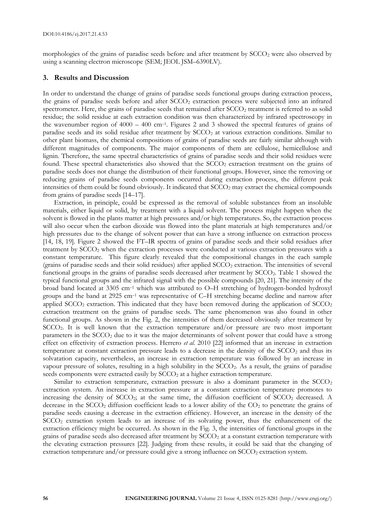morphologies of the grains of paradise seeds before and after treatment by SCCO<sub>2</sub> were also observed by using a scanning electron microscope (SEM; JEOL JSM–6390LV).

### **3. Results and Discussion**

In order to understand the change of grains of paradise seeds functional groups during extraction process, the grains of paradise seeds before and after SCCO<sub>2</sub> extraction process were subjected into an infrared spectrometer. Here, the grains of paradise seeds that remained after  $SCCO<sub>2</sub>$  treatment is referred to as solid residue; the solid residue at each extraction condition was then characterized by infrared spectroscopy in the wavenumber region of 4000 – 400 cm–<sup>1</sup> . Figures 2 and 3 showed the spectral features of grains of paradise seeds and its solid residue after treatment by SCCO<sub>2</sub> at various extraction conditions. Similar to other plant biomass, the chemical compositions of grains of paradise seeds are fairly similar although with different magnitudes of components. The major components of them are cellulose, hemicellulose and lignin. Therefore, the same spectral characteristics of grains of paradise seeds and their solid residues were found. These spectral characteristics also showed that the SCCO<sub>2</sub> extraction treatment on the grains of paradise seeds does not change the distribution of their functional groups. However, since the removing or reducing grains of paradise seeds components occurred during extraction process, the different peak intensities of them could be found obviously. It indicated that  $SCCO<sub>2</sub>$  may extract the chemical compounds from grains of paradise seeds [14–17].

Extraction, in principle, could be expressed as the removal of soluble substances from an insoluble materials, either liquid or solid, by treatment with a liquid solvent. The process might happen when the solvent is flowed in the plants matter at high pressures and/or high temperatures. So, the extraction process will also occur when the carbon dioxide was flowed into the plant materials at high temperatures and/or high pressures due to the change of solvent power that can have a strong influence on extraction process [14, 18, 19]. Figure 2 showed the FT–IR spectra of grains of paradise seeds and their solid residues after treatment by SCCO<sup>2</sup> when the extraction processes were conducted at various extraction pressures with a constant temperature. This figure clearly revealed that the compositional changes in the each sample (grains of paradise seeds and their solid residues) after applied SCCO<sub>2</sub> extraction. The intensities of several functional groups in the grains of paradise seeds decreased after treatment by SCCO2. Table 1 showed the typical functional groups and the infrared signal with the possible compounds [20, 21]. The intensity of the broad band located at 3305 cm–<sup>1</sup> which was attributed to O–H stretching of hydrogen-bonded hydroxyl groups and the band at 2925 cm–<sup>1</sup> was representative of C–H stretching became decline and narrow after applied  $SCCO<sub>2</sub>$  extraction. This indicated that they have been removed during the application of  $SCCO<sub>2</sub>$ extraction treatment on the grains of paradise seeds. The same phenomenon was also found in other functional groups. As shown in the Fig. 2, the intensities of them decreased obviously after treatment by SCCO<sub>2</sub>. It is well known that the extraction temperature and/or pressure are two most important parameters in the SCCO<sup>2</sup> due to it was the major determinants of solvent power that could have a strong effect on effectivity of extraction process. Herrero *et al*. 2010 [22] informed that an increase in extraction temperature at constant extraction pressure leads to a decrease in the density of the SCCO<sub>2</sub> and thus its solvatation capacity, nevertheless, an increase in extraction temperature was followed by an increase in vapour pressure of solutes, resulting in a high solubility in the SCCO2. As a result, the grains of paradise seeds components were extracted easily by SCCO<sub>2</sub> at a higher extraction temperature.

Similar to extraction temperature, extraction pressure is also a dominant parameter in the  $SCCO<sub>2</sub>$ extraction system. An increase in extraction pressure at a constant extraction temperature promotes to increasing the density of  $SCCO<sub>2</sub>$ ; at the same time, the diffusion coefficient of  $SCCO<sub>2</sub>$  decreased. A decrease in the  $SCCO<sub>2</sub>$  diffusion coefficient leads to a lower ability of the  $CO<sub>2</sub>$  to penetrate the grains of paradise seeds causing a decrease in the extraction efficiency. However, an increase in the density of the SCCO<sub>2</sub> extraction system leads to an increase of its solvating power, thus the enhancement of the extraction efficiency might be occurred. As shown in the Fig. 3, the intensities of functional groups in the grains of paradise seeds also decreased after treatment by  $SCCO<sub>2</sub>$  at a constant extraction temperature with the elevating extraction pressures [22]. Judging from these results, it could be said that the changing of extraction temperature and/or pressure could give a strong influence on  $SCCO<sub>2</sub>$  extraction system.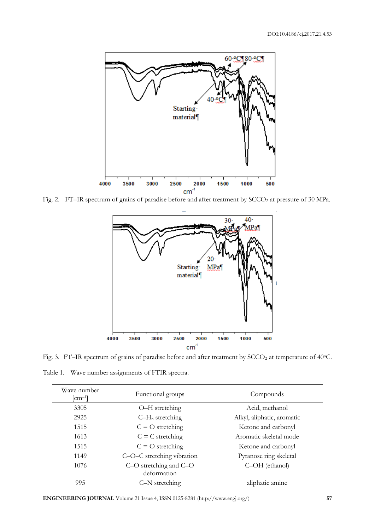

Fig. 2. FT-IR spectrum of grains of paradise before and after treatment by SCCO<sub>2</sub> at pressure of 30 MPa.



Fig. 3. FT-IR spectrum of grains of paradise before and after treatment by SCCO<sub>2</sub> at temperature of 40°C.

Table 1. Wave number assignments of FTIR spectra.

| Wave number<br>$\lfloor$ cm <sup>-1</sup> $\rfloor$ | Functional groups                     | Compounds                  |  |
|-----------------------------------------------------|---------------------------------------|----------------------------|--|
| 3305                                                | O-H stretching                        | Acid, methanol             |  |
| 2925                                                | $C-H_n$ stretching                    | Alkyl, aliphatic, aromatic |  |
| 1515                                                | $C = O$ stretching                    | Ketone and carbonyl        |  |
| 1613                                                | $C = C$ stretching                    | Aromatic skeletal mode     |  |
| 1515                                                | $C = O$ stretching                    | Ketone and carbonyl        |  |
| 1149                                                | C-O-C stretching vibration            | Pyranose ring skeletal     |  |
| 1076                                                | C-O stretching and C-O<br>deformation | C-OH (ethanol)             |  |
| 995                                                 | C-N stretching                        | aliphatic amine            |  |

**ENGINEERING JOURNAL** Volume 21 Issue 4, ISSN 0125-8281 (http://www.engj.org/) **57**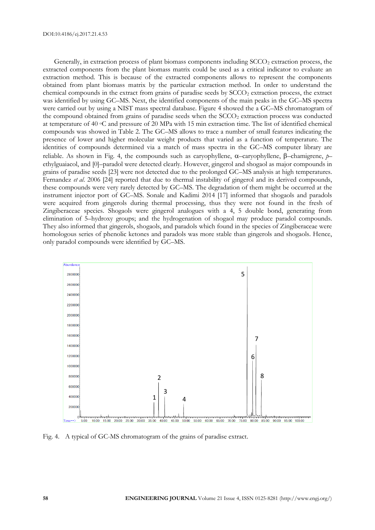Generally, in extraction process of plant biomass components including  $SCCO<sub>2</sub>$  extraction process, the extracted components from the plant biomass matrix could be used as a critical indicator to evaluate an extraction method. This is because of the extracted components allows to represent the components obtained from plant biomass matrix by the particular extraction method. In order to understand the chemical compounds in the extract from grains of paradise seeds by SCCO<sub>2</sub> extraction process, the extract was identified by using GC–MS. Next, the identified components of the main peaks in the GC–MS spectra were carried out by using a NIST mass spectral database. Figure 4 showed the a GC–MS chromatogram of the compound obtained from grains of paradise seeds when the  $SCCO<sub>2</sub>$  extraction process was conducted at temperature of 40 oC and pressure of 20 MPa with 15 min extraction time. The list of identified chemical compounds was showed in Table 2. The GC–MS allows to trace a number of small features indicating the presence of lower and higher molecular weight products that varied as a function of temperature. The identities of compounds determined via a match of mass spectra in the GC–MS computer library are reliable. As shown in Fig. 4, the compounds such as caryophyllene,  $\alpha$ -caryophyllene,  $\beta$ -chamigrene,  $\beta$ ethylguaiacol, and [0]–paradol were detected clearly. However, gingerol and shogaol as major compounds in grains of paradise seeds [23] were not detected due to the prolonged GC–MS analysis at high temperatures. Fernandez *et al*. 2006 [24] reported that due to thermal instability of gingerol and its derived compounds, these compounds were very rarely detected by GC–MS. The degradation of them might be occurred at the instrument injector port of GC–MS. Sonale and Kadimi 2014 [17] informed that shogaols and paradols were acquired from gingerols during thermal processing, thus they were not found in the fresh of Zingiberaceae species. Shogaols were gingerol analogues with a 4, 5 double bond, generating from elimination of 5–hydroxy groups; and the hydrogenation of shogaol may produce paradol compounds. They also informed that gingerols, shogaols, and paradols which found in the species of Zingiberaceae were homologous series of phenolic ketones and paradols was more stable than gingerols and shogaols. Hence, only paradol compounds were identified by GC–MS.



Fig. 4. A typical of GC-MS chromatogram of the grains of paradise extract.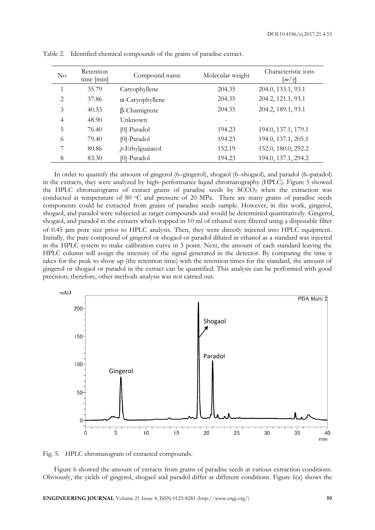| $\rm No$       | Retention<br>time [min] | Compound name           | Molecular weight | Characteristic ions<br>$\left\lceil m \right/ \right\rceil$ |
|----------------|-------------------------|-------------------------|------------------|-------------------------------------------------------------|
|                | 35.79                   | Caryophyllene           | 204.35           | 204.0, 133.1, 93.1                                          |
| $\overline{2}$ | 37.86                   | $\alpha$ -Caryophyllene | 204.35           | 204.2, 121.1, 93.1                                          |
| 3              | 40.53                   | $\beta$ -Chamigrene     | 204.35           | 204.2, 189.1, 93.1                                          |
| 4              | 48.90                   | Unknown                 |                  |                                                             |
| 5              | 76.40                   | $[0]$ -Paradol          | 194.23           | 194.0, 137.1, 179.1                                         |
| 6              | 79.40                   | $[0]$ -Paradol          | 194.23           | 194.0, 137.1, 205.1                                         |
| 7              | 80.86                   | $p$ -Ethylguaiacol      | 152.19           | 152.0, 180.0, 292.2                                         |
| 8              | 83.30                   | [0]-Paradol             | 194.23           | 194.0, 137.1, 294.2                                         |

Table 2. Identified chemical compounds of the grains of paradise extract.

In order to quantify the amount of gingerol (6–gingerol), shogaol (6–shogaol), and paradol (6–paradol) in the extracts, they were analyzed by high–performance liquid chromatography (HPLC). Figure 5 showed the HPLC chromatograms of extract grains of paradise seeds by  $SCCO<sub>2</sub>$  when the extraction was conducted at temperature of 80 °C and pressure of 20 MPa. There are many grains of paradise seeds components could be extracted from grains of paradise seeds sample. However, in this work, gingerol, shogaol, and paradol were subjected as target compounds and would be determined quantitatively. Gingerol, shogaol, and paradol in the extracts which trapped in 10 ml of ethanol were filtered using a disposable filter of 0.45 m pore size prior to HPLC analysis. Then, they were directly injected into HPLC equipment. Initially, the pure compound of gingerol or shogaol or paradol diluted in ethanol as a standard was injected in the HPLC system to make calibration curve in 5 point. Next, the amount of each standard leaving the HPLC column will assign the intensity of the signal generated in the detector. By comparing the time it takes for the peak to show up (the retention time) with the retention times for the standard, the amount of gingerol or shogaol or paradol in the extract can be quantified. This analysis can be performed with good precision; therefore, other methods analysis was not carried out.





Figure 6 showed the amount of extracts from grains of paradise seeds at various extraction conditions. Obviously, the yields of gingerol, shogaol and paradol differ at different conditions. Figure 6(a) shows the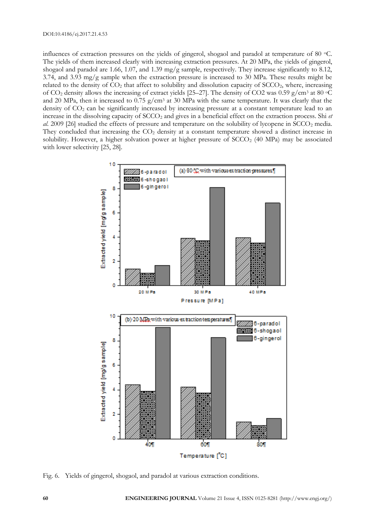influences of extraction pressures on the yields of gingerol, shogaol and paradol at temperature of 80  $\degree$ C. The yields of them increased clearly with increasing extraction pressures. At 20 MPa, the yields of gingerol, shogaol and paradol are 1.66, 1.07, and 1.39 mg/g sample, respectively. They increase significantly to 8.12, 3.74, and 3.93 mg/g sample when the extraction pressure is increased to 30 MPa. These results might be related to the density of  $CO<sub>2</sub>$  that affect to solubility and dissolution capacity of  $SCCO<sub>2</sub>$ , where, increasing of CO<sup>2</sup> density allows the increasing of extract yields [25–27]. The density of CO2 was 0.59 g/cm<sup>3</sup> at 80 oC and 20 MPa, then it increased to 0.75 g/cm<sup>3</sup> at 30 MPa with the same temperature. It was clearly that the density of  $CO<sub>2</sub>$  can be significantly increased by increasing pressure at a constant temperature lead to an increase in the dissolving capacity of  $SCCO<sub>2</sub>$  and gives in a beneficial effect on the extraction process. Shi *et al.* 2009 [26] studied the effects of pressure and temperature on the solubility of lycopene in SCCO<sub>2</sub> media. They concluded that increasing the  $CO<sub>2</sub>$  density at a constant temperature showed a distinct increase in solubility. However, a higher solvation power at higher pressure of  $SCCO<sub>2</sub>$  (40 MPa) may be associated with lower selectivity [25, 28].



Fig. 6. Yields of gingerol, shogaol, and paradol at various extraction conditions.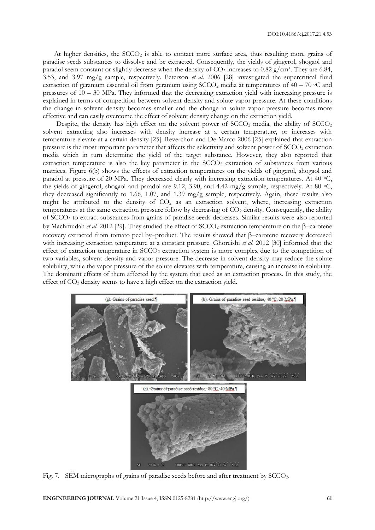At higher densities, the  $SCCO<sub>2</sub>$  is able to contact more surface area, thus resulting more grains of paradise seeds substances to dissolve and be extracted. Consequently, the yields of gingerol, shogaol and paradol seem constant or slightly decrease when the density of  $CO_2$  increases to 0.82 g/cm<sup>3</sup>. They are 6.84, 3.53, and 3.97 mg/g sample, respectively. Peterson *et al*. 2006 [28] investigated the supercritical fluid extraction of geranium essential oil from geranium using  $SCCO<sub>2</sub>$  media at temperatures of 40 – 70 °C and pressures of 10 – 30 MPa. They informed that the decreasing extraction yield with increasing pressure is explained in terms of competition between solvent density and solute vapor pressure. At these conditions the change in solvent density becomes smaller and the change in solute vapor pressure becomes more effective and can easily overcome the effect of solvent density change on the extraction yield.

Despite, the density has high effect on the solvent power of  $SCCO<sub>2</sub>$  media, the ability of  $SCCO<sub>2</sub>$ solvent extracting also increases with density increase at a certain temperature, or increases with temperature elevate at a certain density [25]. Reverchon and De Marco 2006 [25] explained that extraction pressure is the most important parameter that affects the selectivity and solvent power of  $SCCO<sub>2</sub>$  extraction media which in turn determine the yield of the target substance. However, they also reported that extraction temperature is also the key parameter in the  $SCCO<sub>2</sub>$  extraction of substances from various matrices. Figure 6(b) shows the effects of extraction temperatures on the yields of gingerol, shogaol and paradol at pressure of 20 MPa. They decreased clearly with increasing extraction temperatures. At 40  $\degree$ C, the yields of gingerol, shogaol and paradol are 9.12, 3.90, and 4.42 mg/g sample, respectively. At 80  $\degree$ C, they decreased significantly to 1.66, 1.07, and 1.39 mg/g sample, respectively. Again, these results also might be attributed to the density of  $CO<sub>2</sub>$  as an extraction solvent, where, increasing extraction temperatures at the same extraction pressure follow by decreasing of CO<sub>2</sub> density. Consequently, the ability of SCCO<sup>2</sup> to extract substances from grains of paradise seeds decreases. Similar results were also reported by Machmudah *et al.* 2012 [29]. They studied the effect of  $SCCO<sub>2</sub>$  extraction temperature on the  $\beta$ -carotene recovery extracted from tomato peel by-product. The results showed that  $\beta$ -carotene recovery decreased with increasing extraction temperature at a constant pressure. Ghoreishi *et al*. 2012 [30] informed that the effect of extraction temperature in SCCO<sub>2</sub> extraction system is more complex due to the competition of two variables, solvent density and vapor pressure. The decrease in solvent density may reduce the solute solubility, while the vapor pressure of the solute elevates with temperature, causing an increase in solubility. The dominant effects of them affected by the system that used as an extraction process. In this study, the effect of CO<sub>2</sub> density seems to have a high effect on the extraction yield.



Fig. 7. SEM micrographs of grains of paradise seeds before and after treatment by SCCO<sub>2</sub>.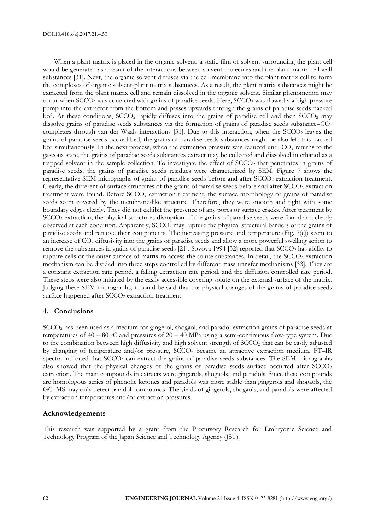When a plant matrix is placed in the organic solvent, a static film of solvent surrounding the plant cell would be generated as a result of the interactions between solvent molecules and the plant matrix cell wall substances [31]. Next, the organic solvent diffuses via the cell membrane into the plant matrix cell to form the complexes of organic solvent-plant matrix substances. As a result, the plant matrix substances might be extracted from the plant matrix cell and remain dissolved in the organic solvent. Similar phenomenon may occur when SCCO<sub>2</sub> was contacted with grains of paradise seeds. Here, SCCO<sub>2</sub> was flowed via high pressure pump into the extractor from the bottom and passes upwards through the grains of paradise seeds packed bed. At these conditions,  $SCCO<sub>2</sub>$  rapidly diffuses into the grains of paradise cell and then  $SCCO<sub>2</sub>$  may dissolve grains of paradise seeds substances via the formation of grains of paradise seeds substance– $CO<sub>2</sub>$ complexes through van der Waals interactions  $[31]$ . Due to this interaction, when the SCCO<sub>2</sub> leaves the grains of paradise seeds packed bed, the grains of paradise seeds substances might be also left this packed bed simultaneously. In the next process, when the extraction pressure was reduced until CO<sub>2</sub> returns to the gaseous state, the grains of paradise seeds substances extract may be collected and dissolved in ethanol as a trapped solvent in the sample collection. To investigate the effect of  $SCCO<sub>2</sub>$  that penetrates in grains of paradise seeds, the grains of paradise seeds residues were characterized by SEM. Figure 7 shows the representative SEM micrographs of grains of paradise seeds before and after SCCO<sub>2</sub> extraction treatment. Clearly, the different of surface structures of the grains of paradise seeds before and after  $SCCO<sub>2</sub>$  extraction treatment were found. Before  $SCCO<sub>2</sub>$  extraction treatment, the surface morphology of grains of paradise seeds seem covered by the membrane-like structure. Therefore, they were smooth and tight with some boundary edges clearly. They did not exhibit the presence of any pores or surface cracks. After treatment by SCCO<sub>2</sub> extraction, the physical structures disruption of the grains of paradise seeds were found and clearly observed at each condition. Apparently, SCCO<sup>2</sup> may rupture the physical structural barriers of the grains of paradise seeds and remove their components. The increasing pressure and temperature (Fig. 7(c)) seem to an increase of CO<sup>2</sup> diffusivity into the grains of paradise seeds and allow a more powerful swelling action to remove the substances in grains of paradise seeds [21]. Sovova 1994 [32] reported that  $SCCO<sub>2</sub>$  has ability to rupture cells or the outer surface of matrix to access the solute substances. In detail, the SCCO<sub>2</sub> extraction mechanism can be divided into three steps controlled by different mass transfer mechanisms [33]. They are a constant extraction rate period, a falling extraction rate period, and the diffusion controlled rate period. These steps were also initiated by the easily accessible covering solute on the external surface of the matrix. Judging these SEM micrographs, it could be said that the physical changes of the grains of paradise seeds surface happened after SCCO<sub>2</sub> extraction treatment.

### **4. Conclusions**

SCCO<sup>2</sup> has been used as a medium for gingerol, shogaol, and paradol extraction grains of paradise seeds at temperatures of  $40 - 80$  °C and pressures of  $20 - 40$  MPa using a semi-continuous flow-type system. Due to the combination between high diffusivity and high solvent strength of  $SCCO<sub>2</sub>$  that can be easily adjusted by changing of temperature and/or pressure, SCCO<sup>2</sup> became an attractive extraction medium. FT–IR spectra indicated that SCCO<sub>2</sub> can extract the grains of paradise seeds substances. The SEM micrographs also showed that the physical changes of the grains of paradise seeds surface occurred after  $SCCO<sub>2</sub>$ extraction. The main compounds in extracts were gingerols, shogaols, and paradols. Since these compounds are homologous series of phenolic ketones and paradols was more stable than gingerols and shogaols, the GC–MS may only detect paradol compounds. The yields of gingerols, shogaols, and paradols were affected by extraction temperatures and/or extraction pressures.

### **Acknowledgements**

This research was supported by a grant from the Precursory Research for Embryonic Science and Technology Program of the Japan Science and Technology Agency (JST).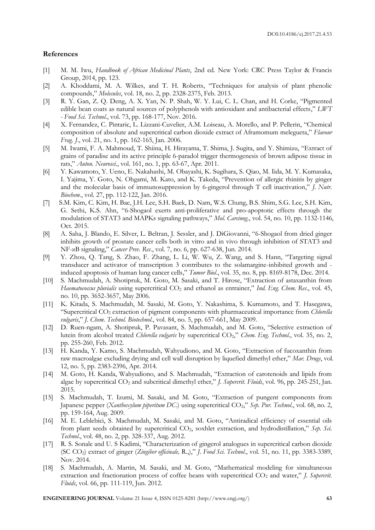### **References**

- [1] M. M. Iwu, *Handbook of African Medicinal Plants*, 2nd ed. New York: CRC Press Taylor & Francis Group, 2014, pp. 123.
- [2] A. Khoddami, M. A. Wilkes, and T. H. Roberts, "Techniques for analysis of plant phenolic compounds," *Molecules*, vol. 18, no. 2, pp. 2328-2375, Feb. 2013.
- [3] R. Y. Gan, Z. Q. Deng, A. X. Yan, N. P. Shah, W. Y. Lui, C. L. Chan, and H. Corke, "Pigmented edible bean coats as natural sources of polyphenols with antioxidant and antibacterial effects," *LWT - Food Sci. Technol*., vol. 73, pp. 168-177, Nov. 2016.
- [4] X. Fernandez, C. Pintaric, L. Lizzani-Cuvelier, A.M. Loiseau, A. Morello, and P. Pellerin, "Chemical composition of absolute and supercritical carbon dioxide extract of Aframomum melegueta," *Flavour Frag. J*., vol. 21, no. 1, pp. 162-165, Jan. 2006.
- [5] M. Iwami, F. A. Mahmoud, T. Shiina, H. Hirayama, T. Shima, J. Sugita, and Y. Shimizu, "Extract of grains of paradise and its active principle 6-paradol trigger thermogenesis of brown adipose tissue in rats," *Auton. Neurosci.*, vol. 161, no. 1, pp. 63-67, Apr. 2011.
- [6] Y. Kawamoto, Y. Ueno, E. Nakahashi, M. Obayashi, K. Sugihara, S. Qiao, M. Iida, M. Y. Kumasaka, I. Yajima, Y. Goto, N. Ohgami, M. Kato, and K. Takeda, "Prevention of allergic rhinitis by ginger and the molecular basis of immunosuppression by 6-gingerol through T cell inactivation," *J. Nutr. Biochem.*, vol. 27, pp. 112-122, Jan. 2016.
- [7] S.M. Kim, C. Kim, H. Bae, J.H. Lee, S.H. Baek, D. Nam, W.S. Chung, B.S. Shim, S.G. Lee, S.H. Kim, G. Sethi, K.S. Ahn, "6-Shogaol exerts anti-proliferative and pro-apoptotic effects through the modulation of STAT3 and MAPKs signaling pathways," *Mol. Carcinog*., vol. 54, no. 10, pp. 1132-1146, Oct. 2015.
- [8] A. Saha, J. Blando, E. Silver, L. Beltran, J. Sessler, and J. DiGiovanni, "6-Shogaol from dried ginger inhibits growth of prostate cancer cells both in vitro and in vivo through inhibition of STAT3 and NF-κB signaling," *Cancer Prev. Res*., vol. 7, no. 6, pp. 627-638, Jun. 2014.
- [9] Y. Zhou, Q. Tang, S. Zhao, F. Zhang, L. Li, W. Wu, Z. Wang, and S. Hann, "Targeting signal transducer and activator of transcription 3 contributes to the solamargine-inhibited growth and induced apoptosis of human lung cancer cells," *Tumor Biol*., vol. 35, no. 8, pp. 8169-8178, Dec. 2014.
- [10] S. Machmudah, A. Shotipruk, M. Goto, M. Sasaki, and T. Hirose, "Extraction of astaxanthin from *Haematococcus pluvialis* using supercritical CO<sub>2</sub> and ethanol as entrainer," *Ind. Eng. Chem. Res.*, vol. 45, no. 10, pp. 3652-3657, May 2006.
- [11] K. Kitada, S. Machmudah, M. Sasaki, M. Goto, Y. Nakashima, S. Kumamoto, and T. Hasegawa, "Supercritical CO<sup>2</sup> extraction of pigment components with pharmaceutical importance from *Chlorella vulgaris*," *J. Chem. Technol. Biotechnol*., vol. 84, no. 5, pp. 657-661, May 2009.
- [12] D. Ruen-ngam, A. Shotipruk, P. Pavasant, S. Machmudah, and M. Goto, "Selective extraction of lutein from alcohol treated *Chlorella vulgaris* by supercritical CO2," *Chem. Eng. Technol*., vol. 35, no. 2, pp. 255-260, Feb. 2012.
- [13] H. Kanda, Y. Kamo, S. Machmudah, Wahyudiono, and M. Goto, "Extraction of fucoxanthin from raw macroalgae excluding drying and cell wall disruption by liquefied dimethyl ether," *Mar. Drugs*, vol. 12, no. 5, pp. 2383-2396, Apr. 2014.
- [14] M. Goto, H. Kanda, Wahyudiono, and S. Machmudah, "Extraction of carotenoids and lipids from algae by supercritical CO<sup>2</sup> and subcritical dimethyl ether," *J. Supercrit. Fluids*, vol. 96, pp. 245-251, Jan. 2015.
- [15] S. Machmudah, T. Izumi, M. Sasaki, and M. Goto, "Extraction of pungent components from Japanese pepper (*Xanthoxylum piperitum DC*.) using supercritical CO<sub>2</sub>," *Sep. Pur. Technol.*, vol. 68, no. 2, pp. 159-164, Aug. 2009.
- [16] M. E. Leblebici, S. Machmudah, M. Sasaki, and M. Goto, "Antiradical efficiency of essential oils from plant seeds obtained by supercritical CO2, soxhlet extraction, and hydrodistillation," *Sep. Sci. Technol*., vol. 48, no. 2, pp. 328-337, Aug. 2012.
- [17] R. S. Sonale and U. S Kadimi, "Characterization of gingerol analogues in supercritical carbon dioxide (SC CO2) extract of ginger (*Zingiber officinale,* R.,)," *J. Food Sci. Technol*., vol. 51, no. 11, pp. 3383-3389, Nov. 2014.
- [18] S. Machmudah, A. Martin, M. Sasaki, and M. Goto, "Mathematical modeling for simultaneous extraction and fractionation process of coffee beans with supercritical CO<sub>2</sub> and water," *J. Supercrit. Fluids*, vol. 66, pp. 111-119, Jun. 2012.

**ENGINEERING JOURNAL** Volume 21 Issue 4, ISSN 0125-8281 (http://www.engj.org/) **63**